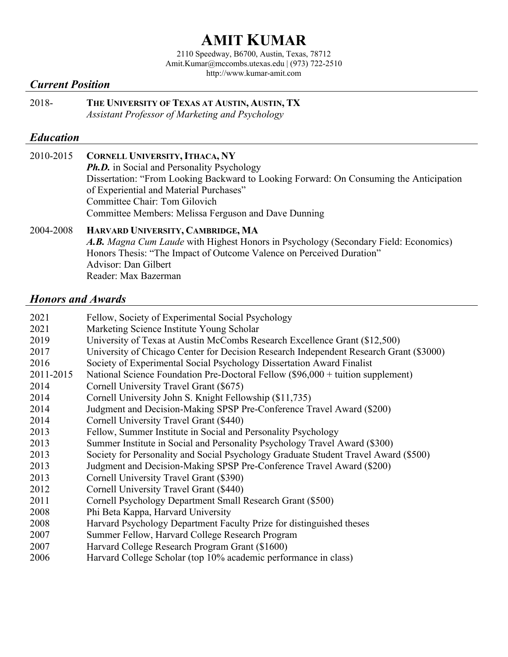# **AMIT KUMAR**

2110 Speedway, B6700, Austin, Texas, 78712 Amit.Kumar@mccombs.utexas.edu | (973) 722-2510 http://www.kumar-amit.com

## *Current Position*

2018- **THE UNIVERSITY OF TEXAS AT AUSTIN, AUSTIN, TX** *Assistant Professor of Marketing and Psychology*

#### *Education*

| 2010-2015 | <b>CORNELL UNIVERSITY, ITHACA, NY</b>                                                      |
|-----------|--------------------------------------------------------------------------------------------|
|           | <b>Ph.D.</b> in Social and Personality Psychology                                          |
|           | Dissertation: "From Looking Backward to Looking Forward: On Consuming the Anticipation     |
|           | of Experiential and Material Purchases"                                                    |
|           | Committee Chair: Tom Gilovich                                                              |
|           | Committee Members: Melissa Ferguson and Dave Dunning                                       |
| 2004-2008 | HARVARD UNIVERSITY, CAMBRIDGE, MA                                                          |
|           | <b>A.B.</b> Magna Cum Laude with Highest Honors in Psychology (Secondary Field: Economics) |
|           | Honors Thesis: "The Impact of Outcome Valence on Perceived Duration"                       |
|           | Advisor: Dan Gilbert                                                                       |

Reader: Max Bazerman

## *Honors and Awards*

| 2021      | Fellow, Society of Experimental Social Psychology                                      |
|-----------|----------------------------------------------------------------------------------------|
| 2021      | Marketing Science Institute Young Scholar                                              |
| 2019      | University of Texas at Austin McCombs Research Excellence Grant (\$12,500)             |
| 2017      | University of Chicago Center for Decision Research Independent Research Grant (\$3000) |
| 2016      | Society of Experimental Social Psychology Dissertation Award Finalist                  |
| 2011-2015 | National Science Foundation Pre-Doctoral Fellow (\$96,000 + tuition supplement)        |
| 2014      | Cornell University Travel Grant (\$675)                                                |
| 2014      | Cornell University John S. Knight Fellowship (\$11,735)                                |
| 2014      | Judgment and Decision-Making SPSP Pre-Conference Travel Award (\$200)                  |
| 2014      | Cornell University Travel Grant (\$440)                                                |
| 2013      | Fellow, Summer Institute in Social and Personality Psychology                          |
| 2013      | Summer Institute in Social and Personality Psychology Travel Award (\$300)             |
| 2013      | Society for Personality and Social Psychology Graduate Student Travel Award (\$500)    |
| 2013      | Judgment and Decision-Making SPSP Pre-Conference Travel Award (\$200)                  |
| 2013      | Cornell University Travel Grant (\$390)                                                |
| 2012      | Cornell University Travel Grant (\$440)                                                |
| 2011      | Cornell Psychology Department Small Research Grant (\$500)                             |
| 2008      | Phi Beta Kappa, Harvard University                                                     |
| 2008      | Harvard Psychology Department Faculty Prize for distinguished theses                   |
| 2007      | Summer Fellow, Harvard College Research Program                                        |
| 2007      | Harvard College Research Program Grant (\$1600)                                        |
| 2006      | Harvard College Scholar (top 10% academic performance in class)                        |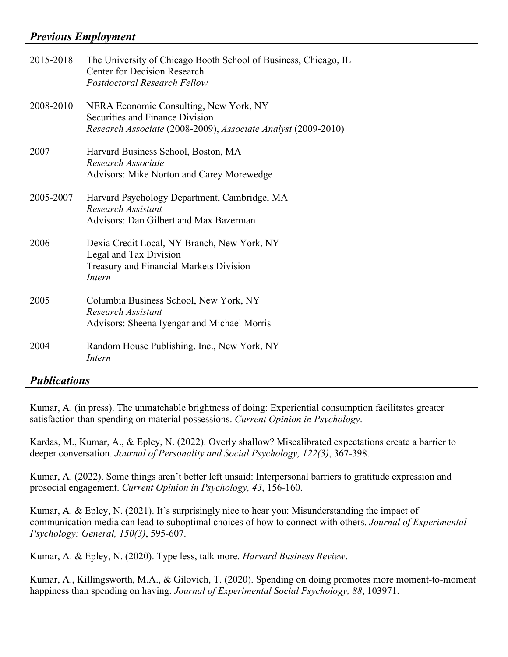## *Previous Employment*

| 2015-2018 | The University of Chicago Booth School of Business, Chicago, IL<br><b>Center for Decision Research</b><br><b>Postdoctoral Research Fellow</b> |
|-----------|-----------------------------------------------------------------------------------------------------------------------------------------------|
| 2008-2010 | NERA Economic Consulting, New York, NY<br>Securities and Finance Division<br>Research Associate (2008-2009), Associate Analyst (2009-2010)    |
| 2007      | Harvard Business School, Boston, MA<br>Research Associate<br>Advisors: Mike Norton and Carey Morewedge                                        |
| 2005-2007 | Harvard Psychology Department, Cambridge, MA<br>Research Assistant<br>Advisors: Dan Gilbert and Max Bazerman                                  |
| 2006      | Dexia Credit Local, NY Branch, New York, NY<br>Legal and Tax Division<br>Treasury and Financial Markets Division<br>Intern                    |
| 2005      | Columbia Business School, New York, NY<br>Research Assistant<br>Advisors: Sheena Iyengar and Michael Morris                                   |
| 2004      | Random House Publishing, Inc., New York, NY<br>Intern                                                                                         |

## *Publications*

Kumar, A. (in press). The unmatchable brightness of doing: Experiential consumption facilitates greater satisfaction than spending on material possessions. *Current Opinion in Psychology*.

Kardas, M., Kumar, A., & Epley, N. (2022). Overly shallow? Miscalibrated expectations create a barrier to deeper conversation. *Journal of Personality and Social Psychology, 122(3)*, 367-398.

Kumar, A. (2022). Some things aren't better left unsaid: Interpersonal barriers to gratitude expression and prosocial engagement. *Current Opinion in Psychology, 43*, 156-160.

Kumar, A. & Epley, N. (2021). It's surprisingly nice to hear you: Misunderstanding the impact of communication media can lead to suboptimal choices of how to connect with others. *Journal of Experimental Psychology: General, 150(3)*, 595-607.

Kumar, A. & Epley, N. (2020). Type less, talk more. *Harvard Business Review*.

Kumar, A., Killingsworth, M.A., & Gilovich, T. (2020). Spending on doing promotes more moment-to-moment happiness than spending on having. *Journal of Experimental Social Psychology, 88*, 103971.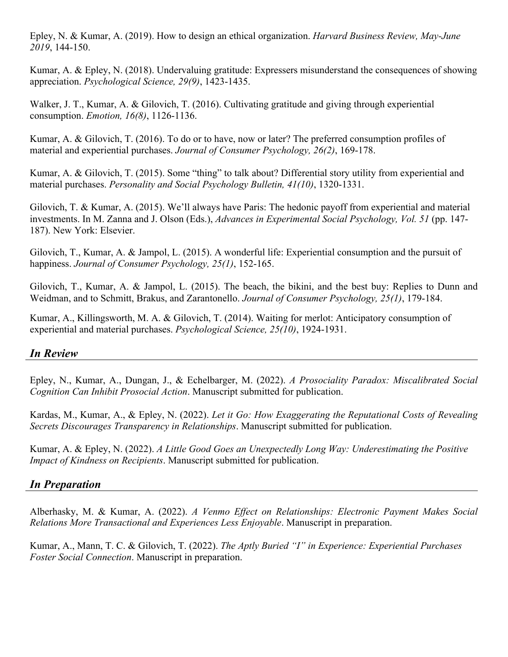Epley, N. & Kumar, A. (2019). How to design an ethical organization. *Harvard Business Review, May-June 2019*, 144-150.

Kumar, A. & Epley, N. (2018). Undervaluing gratitude: Expressers misunderstand the consequences of showing appreciation. *Psychological Science, 29(9)*, 1423-1435.

Walker, J. T., Kumar, A. & Gilovich, T. (2016). Cultivating gratitude and giving through experiential consumption. *Emotion, 16(8)*, 1126-1136.

Kumar, A. & Gilovich, T. (2016). To do or to have, now or later? The preferred consumption profiles of material and experiential purchases. *Journal of Consumer Psychology, 26(2)*, 169-178.

Kumar, A. & Gilovich, T. (2015). Some "thing" to talk about? Differential story utility from experiential and material purchases. *Personality and Social Psychology Bulletin, 41(10)*, 1320-1331.

Gilovich, T. & Kumar, A. (2015). We'll always have Paris: The hedonic payoff from experiential and material investments. In M. Zanna and J. Olson (Eds.), *Advances in Experimental Social Psychology, Vol. 51* (pp. 147- 187). New York: Elsevier.

Gilovich, T., Kumar, A. & Jampol, L. (2015). A wonderful life: Experiential consumption and the pursuit of happiness. *Journal of Consumer Psychology, 25(1)*, 152-165.

Gilovich, T., Kumar, A. & Jampol, L. (2015). The beach, the bikini, and the best buy: Replies to Dunn and Weidman, and to Schmitt, Brakus, and Zarantonello. *Journal of Consumer Psychology, 25(1)*, 179-184.

Kumar, A., Killingsworth, M. A. & Gilovich, T. (2014). Waiting for merlot: Anticipatory consumption of experiential and material purchases. *Psychological Science, 25(10)*, 1924-1931.

## *In Review*

Epley, N., Kumar, A., Dungan, J., & Echelbarger, M. (2022). *A Prosociality Paradox: Miscalibrated Social Cognition Can Inhibit Prosocial Action*. Manuscript submitted for publication.

Kardas, M., Kumar, A., & Epley, N. (2022). *Let it Go: How Exaggerating the Reputational Costs of Revealing Secrets Discourages Transparency in Relationships*. Manuscript submitted for publication.

Kumar, A. & Epley, N. (2022). *A Little Good Goes an Unexpectedly Long Way: Underestimating the Positive Impact of Kindness on Recipients*. Manuscript submitted for publication.

## *In Preparation*

Alberhasky, M. & Kumar, A. (2022). *A Venmo Effect on Relationships: Electronic Payment Makes Social Relations More Transactional and Experiences Less Enjoyable*. Manuscript in preparation.

Kumar, A., Mann, T. C. & Gilovich, T. (2022). *The Aptly Buried "I" in Experience: Experiential Purchases Foster Social Connection*. Manuscript in preparation.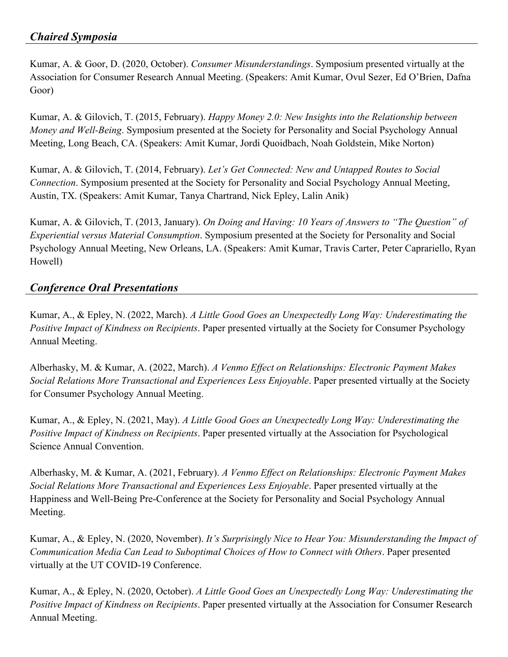Kumar, A. & Goor, D. (2020, October). *Consumer Misunderstandings*. Symposium presented virtually at the Association for Consumer Research Annual Meeting. (Speakers: Amit Kumar, Ovul Sezer, Ed O'Brien, Dafna Goor)

Kumar, A. & Gilovich, T. (2015, February). *Happy Money 2.0: New Insights into the Relationship between Money and Well-Being*. Symposium presented at the Society for Personality and Social Psychology Annual Meeting, Long Beach, CA. (Speakers: Amit Kumar, Jordi Quoidbach, Noah Goldstein, Mike Norton)

Kumar, A. & Gilovich, T. (2014, February). *Let's Get Connected: New and Untapped Routes to Social Connection*. Symposium presented at the Society for Personality and Social Psychology Annual Meeting, Austin, TX. (Speakers: Amit Kumar, Tanya Chartrand, Nick Epley, Lalin Anik)

Kumar, A. & Gilovich, T. (2013, January). *On Doing and Having: 10 Years of Answers to "The Question" of Experiential versus Material Consumption*. Symposium presented at the Society for Personality and Social Psychology Annual Meeting, New Orleans, LA. (Speakers: Amit Kumar, Travis Carter, Peter Caprariello, Ryan Howell)

## *Conference Oral Presentations*

Kumar, A., & Epley, N. (2022, March). *A Little Good Goes an Unexpectedly Long Way: Underestimating the Positive Impact of Kindness on Recipients*. Paper presented virtually at the Society for Consumer Psychology Annual Meeting.

Alberhasky, M. & Kumar, A. (2022, March). *A Venmo Effect on Relationships: Electronic Payment Makes Social Relations More Transactional and Experiences Less Enjoyable*. Paper presented virtually at the Society for Consumer Psychology Annual Meeting.

Kumar, A., & Epley, N. (2021, May). *A Little Good Goes an Unexpectedly Long Way: Underestimating the Positive Impact of Kindness on Recipients*. Paper presented virtually at the Association for Psychological Science Annual Convention.

Alberhasky, M. & Kumar, A. (2021, February). *A Venmo Effect on Relationships: Electronic Payment Makes Social Relations More Transactional and Experiences Less Enjoyable*. Paper presented virtually at the Happiness and Well-Being Pre-Conference at the Society for Personality and Social Psychology Annual Meeting.

Kumar, A., & Epley, N. (2020, November). *It's Surprisingly Nice to Hear You: Misunderstanding the Impact of Communication Media Can Lead to Suboptimal Choices of How to Connect with Others*. Paper presented virtually at the UT COVID-19 Conference.

Kumar, A., & Epley, N. (2020, October). *A Little Good Goes an Unexpectedly Long Way: Underestimating the Positive Impact of Kindness on Recipients*. Paper presented virtually at the Association for Consumer Research Annual Meeting.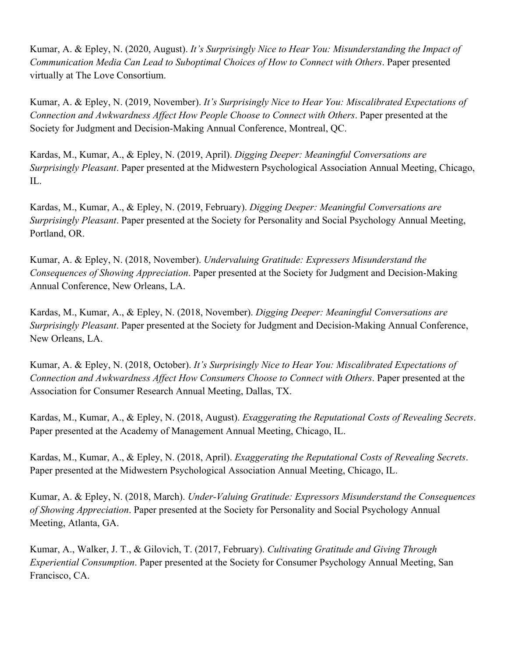Kumar, A. & Epley, N. (2020, August). *It's Surprisingly Nice to Hear You: Misunderstanding the Impact of Communication Media Can Lead to Suboptimal Choices of How to Connect with Others*. Paper presented virtually at The Love Consortium.

Kumar, A. & Epley, N. (2019, November). *It's Surprisingly Nice to Hear You: Miscalibrated Expectations of Connection and Awkwardness Affect How People Choose to Connect with Others*. Paper presented at the Society for Judgment and Decision-Making Annual Conference, Montreal, QC.

Kardas, M., Kumar, A., & Epley, N. (2019, April). *Digging Deeper: Meaningful Conversations are Surprisingly Pleasant*. Paper presented at the Midwestern Psychological Association Annual Meeting, Chicago, IL.

Kardas, M., Kumar, A., & Epley, N. (2019, February). *Digging Deeper: Meaningful Conversations are Surprisingly Pleasant*. Paper presented at the Society for Personality and Social Psychology Annual Meeting, Portland, OR.

Kumar, A. & Epley, N. (2018, November). *Undervaluing Gratitude: Expressers Misunderstand the Consequences of Showing Appreciation*. Paper presented at the Society for Judgment and Decision-Making Annual Conference, New Orleans, LA.

Kardas, M., Kumar, A., & Epley, N. (2018, November). *Digging Deeper: Meaningful Conversations are Surprisingly Pleasant*. Paper presented at the Society for Judgment and Decision-Making Annual Conference, New Orleans, LA.

Kumar, A. & Epley, N. (2018, October). *It's Surprisingly Nice to Hear You: Miscalibrated Expectations of Connection and Awkwardness Affect How Consumers Choose to Connect with Others*. Paper presented at the Association for Consumer Research Annual Meeting, Dallas, TX.

Kardas, M., Kumar, A., & Epley, N. (2018, August). *Exaggerating the Reputational Costs of Revealing Secrets*. Paper presented at the Academy of Management Annual Meeting, Chicago, IL.

Kardas, M., Kumar, A., & Epley, N. (2018, April). *Exaggerating the Reputational Costs of Revealing Secrets*. Paper presented at the Midwestern Psychological Association Annual Meeting, Chicago, IL.

Kumar, A. & Epley, N. (2018, March). *Under-Valuing Gratitude: Expressors Misunderstand the Consequences of Showing Appreciation*. Paper presented at the Society for Personality and Social Psychology Annual Meeting, Atlanta, GA.

Kumar, A., Walker, J. T., & Gilovich, T. (2017, February). *Cultivating Gratitude and Giving Through Experiential Consumption*. Paper presented at the Society for Consumer Psychology Annual Meeting, San Francisco, CA.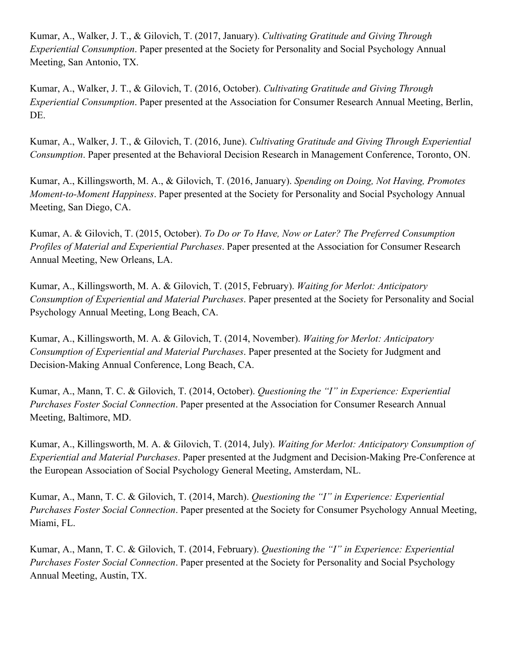Kumar, A., Walker, J. T., & Gilovich, T. (2017, January). *Cultivating Gratitude and Giving Through Experiential Consumption*. Paper presented at the Society for Personality and Social Psychology Annual Meeting, San Antonio, TX.

Kumar, A., Walker, J. T., & Gilovich, T. (2016, October). *Cultivating Gratitude and Giving Through Experiential Consumption*. Paper presented at the Association for Consumer Research Annual Meeting, Berlin, DE.

Kumar, A., Walker, J. T., & Gilovich, T. (2016, June). *Cultivating Gratitude and Giving Through Experiential Consumption*. Paper presented at the Behavioral Decision Research in Management Conference, Toronto, ON.

Kumar, A., Killingsworth, M. A., & Gilovich, T. (2016, January). *Spending on Doing, Not Having, Promotes Moment-to-Moment Happiness*. Paper presented at the Society for Personality and Social Psychology Annual Meeting, San Diego, CA.

Kumar, A. & Gilovich, T. (2015, October). *To Do or To Have, Now or Later? The Preferred Consumption Profiles of Material and Experiential Purchases*. Paper presented at the Association for Consumer Research Annual Meeting, New Orleans, LA.

Kumar, A., Killingsworth, M. A. & Gilovich, T. (2015, February). *Waiting for Merlot: Anticipatory Consumption of Experiential and Material Purchases*. Paper presented at the Society for Personality and Social Psychology Annual Meeting, Long Beach, CA.

Kumar, A., Killingsworth, M. A. & Gilovich, T. (2014, November). *Waiting for Merlot: Anticipatory Consumption of Experiential and Material Purchases*. Paper presented at the Society for Judgment and Decision-Making Annual Conference, Long Beach, CA.

Kumar, A., Mann, T. C. & Gilovich, T. (2014, October). *Questioning the "I" in Experience: Experiential Purchases Foster Social Connection*. Paper presented at the Association for Consumer Research Annual Meeting, Baltimore, MD.

Kumar, A., Killingsworth, M. A. & Gilovich, T. (2014, July). *Waiting for Merlot: Anticipatory Consumption of Experiential and Material Purchases*. Paper presented at the Judgment and Decision-Making Pre-Conference at the European Association of Social Psychology General Meeting, Amsterdam, NL.

Kumar, A., Mann, T. C. & Gilovich, T. (2014, March). *Questioning the "I" in Experience: Experiential Purchases Foster Social Connection*. Paper presented at the Society for Consumer Psychology Annual Meeting, Miami, FL.

Kumar, A., Mann, T. C. & Gilovich, T. (2014, February). *Questioning the "I" in Experience: Experiential Purchases Foster Social Connection*. Paper presented at the Society for Personality and Social Psychology Annual Meeting, Austin, TX.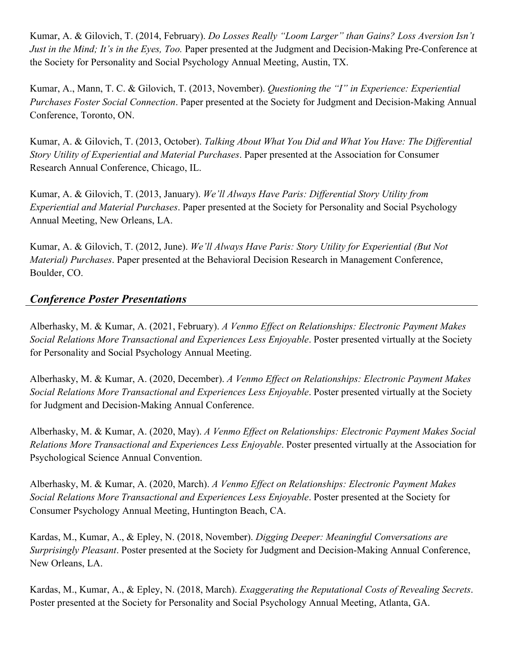Kumar, A. & Gilovich, T. (2014, February). *Do Losses Really "Loom Larger" than Gains? Loss Aversion Isn't Just in the Mind; It's in the Eyes, Too.* Paper presented at the Judgment and Decision-Making Pre-Conference at the Society for Personality and Social Psychology Annual Meeting, Austin, TX.

Kumar, A., Mann, T. C. & Gilovich, T. (2013, November). *Questioning the "I" in Experience: Experiential Purchases Foster Social Connection*. Paper presented at the Society for Judgment and Decision-Making Annual Conference, Toronto, ON.

Kumar, A. & Gilovich, T. (2013, October). *Talking About What You Did and What You Have: The Differential Story Utility of Experiential and Material Purchases*. Paper presented at the Association for Consumer Research Annual Conference, Chicago, IL.

Kumar, A. & Gilovich, T. (2013, January). *We'll Always Have Paris: Differential Story Utility from Experiential and Material Purchases*. Paper presented at the Society for Personality and Social Psychology Annual Meeting, New Orleans, LA.

Kumar, A. & Gilovich, T. (2012, June). *We'll Always Have Paris: Story Utility for Experiential (But Not Material) Purchases*. Paper presented at the Behavioral Decision Research in Management Conference, Boulder, CO.

## *Conference Poster Presentations*

Alberhasky, M. & Kumar, A. (2021, February). *A Venmo Effect on Relationships: Electronic Payment Makes Social Relations More Transactional and Experiences Less Enjoyable*. Poster presented virtually at the Society for Personality and Social Psychology Annual Meeting.

Alberhasky, M. & Kumar, A. (2020, December). *A Venmo Effect on Relationships: Electronic Payment Makes Social Relations More Transactional and Experiences Less Enjoyable*. Poster presented virtually at the Society for Judgment and Decision-Making Annual Conference.

Alberhasky, M. & Kumar, A. (2020, May). *A Venmo Effect on Relationships: Electronic Payment Makes Social Relations More Transactional and Experiences Less Enjoyable*. Poster presented virtually at the Association for Psychological Science Annual Convention.

Alberhasky, M. & Kumar, A. (2020, March). *A Venmo Effect on Relationships: Electronic Payment Makes Social Relations More Transactional and Experiences Less Enjoyable*. Poster presented at the Society for Consumer Psychology Annual Meeting, Huntington Beach, CA.

Kardas, M., Kumar, A., & Epley, N. (2018, November). *Digging Deeper: Meaningful Conversations are Surprisingly Pleasant*. Poster presented at the Society for Judgment and Decision-Making Annual Conference, New Orleans, LA.

Kardas, M., Kumar, A., & Epley, N. (2018, March). *Exaggerating the Reputational Costs of Revealing Secrets*. Poster presented at the Society for Personality and Social Psychology Annual Meeting, Atlanta, GA.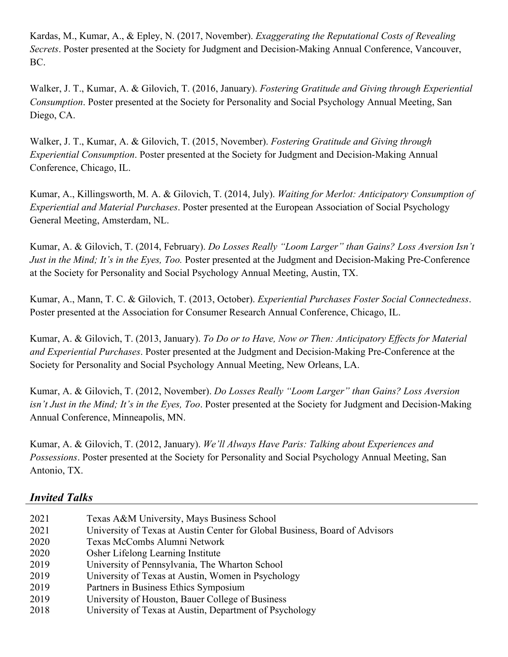Kardas, M., Kumar, A., & Epley, N. (2017, November). *Exaggerating the Reputational Costs of Revealing Secrets*. Poster presented at the Society for Judgment and Decision-Making Annual Conference, Vancouver, BC.

Walker, J. T., Kumar, A. & Gilovich, T. (2016, January). *Fostering Gratitude and Giving through Experiential Consumption*. Poster presented at the Society for Personality and Social Psychology Annual Meeting, San Diego, CA.

Walker, J. T., Kumar, A. & Gilovich, T. (2015, November). *Fostering Gratitude and Giving through Experiential Consumption*. Poster presented at the Society for Judgment and Decision-Making Annual Conference, Chicago, IL.

Kumar, A., Killingsworth, M. A. & Gilovich, T. (2014, July). *Waiting for Merlot: Anticipatory Consumption of Experiential and Material Purchases*. Poster presented at the European Association of Social Psychology General Meeting, Amsterdam, NL.

Kumar, A. & Gilovich, T. (2014, February). *Do Losses Really "Loom Larger" than Gains? Loss Aversion Isn't Just in the Mind; It's in the Eyes, Too.* Poster presented at the Judgment and Decision-Making Pre-Conference at the Society for Personality and Social Psychology Annual Meeting, Austin, TX.

Kumar, A., Mann, T. C. & Gilovich, T. (2013, October). *Experiential Purchases Foster Social Connectedness*. Poster presented at the Association for Consumer Research Annual Conference, Chicago, IL.

Kumar, A. & Gilovich, T. (2013, January). *To Do or to Have, Now or Then: Anticipatory Effects for Material and Experiential Purchases*. Poster presented at the Judgment and Decision-Making Pre-Conference at the Society for Personality and Social Psychology Annual Meeting, New Orleans, LA.

Kumar, A. & Gilovich, T. (2012, November). *Do Losses Really "Loom Larger" than Gains? Loss Aversion isn't Just in the Mind; It's in the Eyes, Too*. Poster presented at the Society for Judgment and Decision-Making Annual Conference, Minneapolis, MN.

Kumar, A. & Gilovich, T. (2012, January). *We'll Always Have Paris: Talking about Experiences and Possessions*. Poster presented at the Society for Personality and Social Psychology Annual Meeting, San Antonio, TX.

| Texas A&M University, Mays Business School                                  |
|-----------------------------------------------------------------------------|
| University of Texas at Austin Center for Global Business, Board of Advisors |
| Texas McCombs Alumni Network                                                |
| Osher Lifelong Learning Institute                                           |
| University of Pennsylvania, The Wharton School                              |
| University of Texas at Austin, Women in Psychology                          |
| Partners in Business Ethics Symposium                                       |
| University of Houston, Bauer College of Business                            |
| University of Texas at Austin, Department of Psychology                     |
|                                                                             |

## *Invited Talks*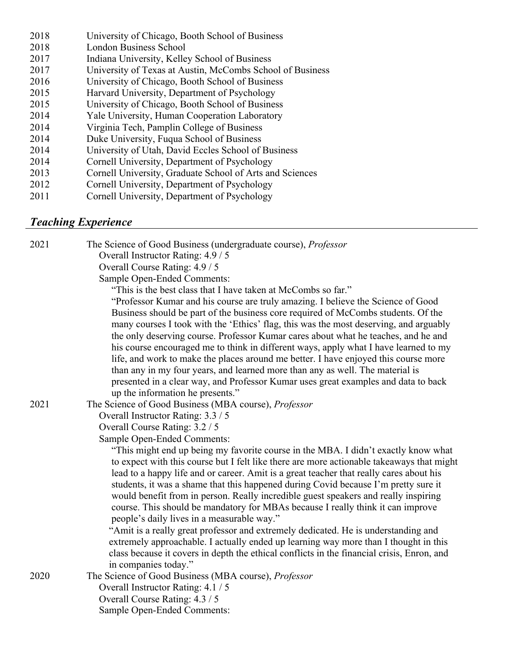| 2018 | University of Chicago, Booth School of Business           |
|------|-----------------------------------------------------------|
| 2018 | London Business School                                    |
| 2017 | Indiana University, Kelley School of Business             |
| 2017 | University of Texas at Austin, McCombs School of Business |
| 2016 | University of Chicago, Booth School of Business           |
| 2015 | Harvard University, Department of Psychology              |
| 2015 | University of Chicago, Booth School of Business           |
| 2014 | Yale University, Human Cooperation Laboratory             |
| 2014 | Virginia Tech, Pamplin College of Business                |
| 2014 | Duke University, Fuqua School of Business                 |
| 2014 | University of Utah, David Eccles School of Business       |
| 2014 | Cornell University, Department of Psychology              |
| 2013 | Cornell University, Graduate School of Arts and Sciences  |
| 2012 | Cornell University, Department of Psychology              |
|      |                                                           |

2011 Cornell University, Department of Psychology

## *Teaching Experience*

| 2021 | The Science of Good Business (undergraduate course), Professor                             |
|------|--------------------------------------------------------------------------------------------|
|      | Overall Instructor Rating: 4.9 / 5                                                         |
|      | Overall Course Rating: 4.9 / 5                                                             |
|      | <b>Sample Open-Ended Comments:</b>                                                         |
|      | "This is the best class that I have taken at McCombs so far."                              |
|      | "Professor Kumar and his course are truly amazing. I believe the Science of Good           |
|      | Business should be part of the business core required of McCombs students. Of the          |
|      | many courses I took with the 'Ethics' flag, this was the most deserving, and arguably      |
|      | the only deserving course. Professor Kumar cares about what he teaches, and he and         |
|      | his course encouraged me to think in different ways, apply what I have learned to my       |
|      | life, and work to make the places around me better. I have enjoyed this course more        |
|      | than any in my four years, and learned more than any as well. The material is              |
|      | presented in a clear way, and Professor Kumar uses great examples and data to back         |
|      | up the information he presents."                                                           |
| 2021 | The Science of Good Business (MBA course), Professor                                       |
|      | Overall Instructor Rating: 3.3 / 5                                                         |
|      | Overall Course Rating: 3.2 / 5                                                             |
|      | Sample Open-Ended Comments:                                                                |
|      | "This might end up being my favorite course in the MBA. I didn't exactly know what         |
|      | to expect with this course but I felt like there are more actionable takeaways that might  |
|      | lead to a happy life and or career. Amit is a great teacher that really cares about his    |
|      | students, it was a shame that this happened during Covid because I'm pretty sure it        |
|      | would benefit from in person. Really incredible guest speakers and really inspiring        |
|      | course. This should be mandatory for MBAs because I really think it can improve            |
|      | people's daily lives in a measurable way."                                                 |
|      | "Amit is a really great professor and extremely dedicated. He is understanding and         |
|      | extremely approachable. I actually ended up learning way more than I thought in this       |
|      | class because it covers in depth the ethical conflicts in the financial crisis, Enron, and |
|      | in companies today."                                                                       |
| 2020 | The Science of Good Business (MBA course), Professor                                       |
|      | Overall Instructor Rating: 4.1 / 5                                                         |
|      | Overall Course Rating: 4.3 / 5                                                             |
|      | <b>Sample Open-Ended Comments:</b>                                                         |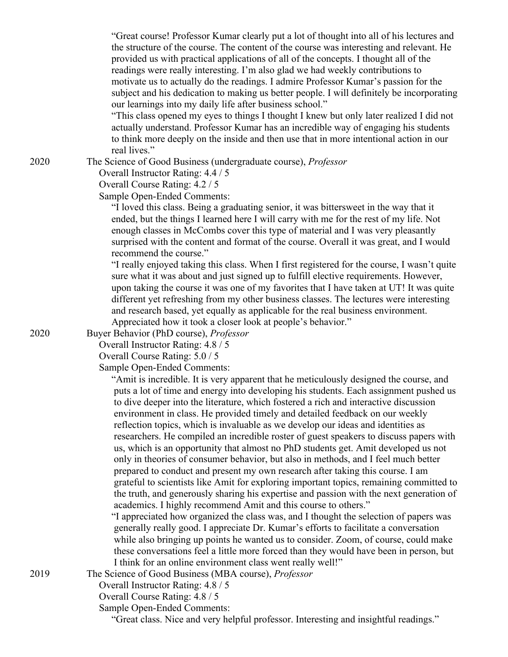"Great course! Professor Kumar clearly put a lot of thought into all of his lectures and the structure of the course. The content of the course was interesting and relevant. He provided us with practical applications of all of the concepts. I thought all of the readings were really interesting. I'm also glad we had weekly contributions to motivate us to actually do the readings. I admire Professor Kumar's passion for the subject and his dedication to making us better people. I will definitely be incorporating our learnings into my daily life after business school."

 "This class opened my eyes to things I thought I knew but only later realized I did not actually understand. Professor Kumar has an incredible way of engaging his students to think more deeply on the inside and then use that in more intentional action in our real lives."

The Science of Good Business (undergraduate course), *Professor*

Overall Instructor Rating: 4.4 / 5

Overall Course Rating: 4.2 / 5

Sample Open-Ended Comments:

 "I loved this class. Being a graduating senior, it was bittersweet in the way that it ended, but the things I learned here I will carry with me for the rest of my life. Not enough classes in McCombs cover this type of material and I was very pleasantly surprised with the content and format of the course. Overall it was great, and I would recommend the course."

 "I really enjoyed taking this class. When I first registered for the course, I wasn't quite sure what it was about and just signed up to fulfill elective requirements. However, upon taking the course it was one of my favorites that I have taken at UT! It was quite different yet refreshing from my other business classes. The lectures were interesting and research based, yet equally as applicable for the real business environment. Appreciated how it took a closer look at people's behavior."

Buyer Behavior (PhD course), *Professor*

Overall Instructor Rating: 4.8 / 5

Overall Course Rating: 5.0 / 5

Sample Open-Ended Comments:

 "Amit is incredible. It is very apparent that he meticulously designed the course, and puts a lot of time and energy into developing his students. Each assignment pushed us to dive deeper into the literature, which fostered a rich and interactive discussion environment in class. He provided timely and detailed feedback on our weekly reflection topics, which is invaluable as we develop our ideas and identities as researchers. He compiled an incredible roster of guest speakers to discuss papers with us, which is an opportunity that almost no PhD students get. Amit developed us not only in theories of consumer behavior, but also in methods, and I feel much better prepared to conduct and present my own research after taking this course. I am grateful to scientists like Amit for exploring important topics, remaining committed to the truth, and generously sharing his expertise and passion with the next generation of academics. I highly recommend Amit and this course to others."

 "I appreciated how organized the class was, and I thought the selection of papers was generally really good. I appreciate Dr. Kumar's efforts to facilitate a conversation while also bringing up points he wanted us to consider. Zoom, of course, could make these conversations feel a little more forced than they would have been in person, but I think for an online environment class went really well!"

The Science of Good Business (MBA course), *Professor*

Overall Instructor Rating: 4.8 / 5

Overall Course Rating: 4.8 / 5

Sample Open-Ended Comments:

"Great class. Nice and very helpful professor. Interesting and insightful readings."

2020

2020

2019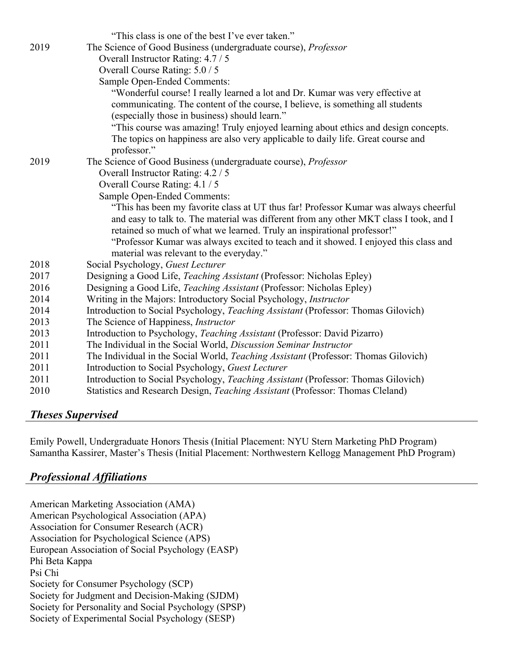|      | "This class is one of the best I've ever taken."                                       |
|------|----------------------------------------------------------------------------------------|
| 2019 | The Science of Good Business (undergraduate course), Professor                         |
|      | Overall Instructor Rating: 4.7 / 5                                                     |
|      | Overall Course Rating: 5.0 / 5                                                         |
|      | Sample Open-Ended Comments:                                                            |
|      | "Wonderful course! I really learned a lot and Dr. Kumar was very effective at          |
|      | communicating. The content of the course, I believe, is something all students         |
|      | (especially those in business) should learn."                                          |
|      | "This course was amazing! Truly enjoyed learning about ethics and design concepts.     |
|      | The topics on happiness are also very applicable to daily life. Great course and       |
|      | professor."                                                                            |
| 2019 | The Science of Good Business (undergraduate course), Professor                         |
|      | Overall Instructor Rating: 4.2 / 5                                                     |
|      | Overall Course Rating: 4.1 / 5                                                         |
|      | Sample Open-Ended Comments:                                                            |
|      | "This has been my favorite class at UT thus far! Professor Kumar was always cheerful   |
|      | and easy to talk to. The material was different from any other MKT class I took, and I |
|      | retained so much of what we learned. Truly an inspirational professor!"                |
|      | "Professor Kumar was always excited to teach and it showed. I enjoyed this class and   |
|      | material was relevant to the everyday."                                                |
| 2018 | Social Psychology, Guest Lecturer                                                      |
| 2017 | Designing a Good Life, Teaching Assistant (Professor: Nicholas Epley)                  |
| 2016 | Designing a Good Life, Teaching Assistant (Professor: Nicholas Epley)                  |
| 2014 | Writing in the Majors: Introductory Social Psychology, <i>Instructor</i>               |
| 2014 | Introduction to Social Psychology, Teaching Assistant (Professor: Thomas Gilovich)     |
| 2013 | The Science of Happiness, Instructor                                                   |
| 2013 | Introduction to Psychology, Teaching Assistant (Professor: David Pizarro)              |
| 2011 | The Individual in the Social World, Discussion Seminar Instructor                      |
| 2011 | The Individual in the Social World, Teaching Assistant (Professor: Thomas Gilovich)    |
| 2011 | Introduction to Social Psychology, Guest Lecturer                                      |
| 2011 | Introduction to Social Psychology, Teaching Assistant (Professor: Thomas Gilovich)     |
| 2010 | Statistics and Research Design, Teaching Assistant (Professor: Thomas Cleland)         |

## *Theses Supervised*

Emily Powell, Undergraduate Honors Thesis (Initial Placement: NYU Stern Marketing PhD Program) Samantha Kassirer, Master's Thesis (Initial Placement: Northwestern Kellogg Management PhD Program)

## *Professional Affiliations*

American Marketing Association (AMA) American Psychological Association (APA) Association for Consumer Research (ACR) Association for Psychological Science (APS) European Association of Social Psychology (EASP) Phi Beta Kappa Psi Chi Society for Consumer Psychology (SCP) Society for Judgment and Decision-Making (SJDM) Society for Personality and Social Psychology (SPSP) Society of Experimental Social Psychology (SESP)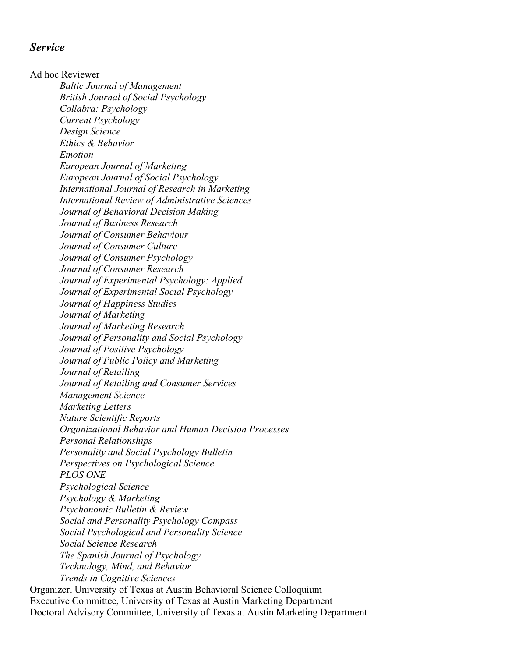Ad hoc Reviewer *Baltic Journal of Management British Journal of Social Psychology Collabra: Psychology Current Psychology Design Science Ethics & Behavior Emotion European Journal of Marketing European Journal of Social Psychology International Journal of Research in Marketing International Review of Administrative Sciences Journal of Behavioral Decision Making Journal of Business Research Journal of Consumer Behaviour Journal of Consumer Culture Journal of Consumer Psychology Journal of Consumer Research Journal of Experimental Psychology: Applied Journal of Experimental Social Psychology Journal of Happiness Studies Journal of Marketing Journal of Marketing Research Journal of Personality and Social Psychology Journal of Positive Psychology Journal of Public Policy and Marketing Journal of Retailing Journal of Retailing and Consumer Services Management Science Marketing Letters Nature Scientific Reports Organizational Behavior and Human Decision Processes Personal Relationships Personality and Social Psychology Bulletin Perspectives on Psychological Science PLOS ONE Psychological Science Psychology & Marketing Psychonomic Bulletin & Review Social and Personality Psychology Compass Social Psychological and Personality Science Social Science Research The Spanish Journal of Psychology Technology, Mind, and Behavior Trends in Cognitive Sciences*

Organizer, University of Texas at Austin Behavioral Science Colloquium Executive Committee, University of Texas at Austin Marketing Department Doctoral Advisory Committee, University of Texas at Austin Marketing Department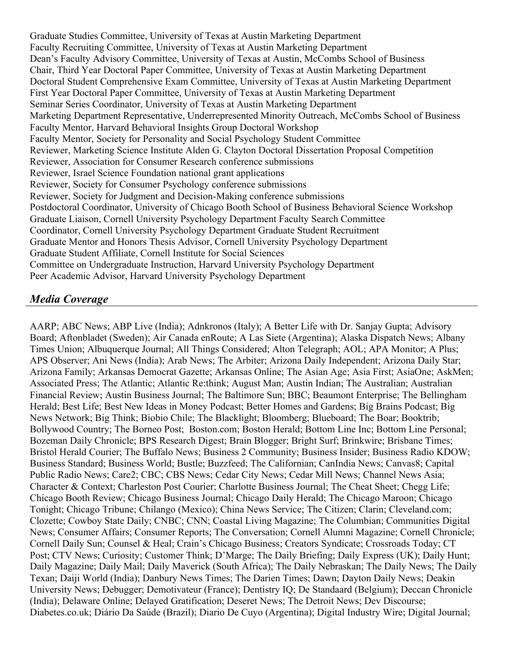Graduate Studies Committee, University of Texas at Austin Marketing Department Faculty Recruiting Committee, University of Texas at Austin Marketing Department Dean's Faculty Advisory Committee, University of Texas at Austin, McCombs School of Business Chair, Third Year Doctoral Paper Committee, University of Texas at Austin Marketing Department Doctoral Student Comprehensive Exam Committee, University of Texas at Austin Marketing Department First Year Doctoral Paper Committee, University of Texas at Austin Marketing Department Seminar Series Coordinator, University of Texas at Austin Marketing Department Marketing Department Representative, Underrepresented Minority Outreach, McCombs School of Business Faculty Mentor, Harvard Behavioral Insights Group Doctoral Workshop Faculty Mentor, Society for Personality and Social Psychology Student Committee Reviewer, Marketing Science Institute Alden G. Clayton Doctoral Dissertation Proposal Competition Reviewer, Association for Consumer Research conference submissions Reviewer, Israel Science Foundation national grant applications Reviewer, Society for Consumer Psychology conference submissions Reviewer, Society for Judgment and Decision-Making conference submissions Postdoctoral Coordinator, University of Chicago Booth School of Business Behavioral Science Workshop Graduate Liaison, Cornell University Psychology Department Faculty Search Committee Coordinator, Cornell University Psychology Department Graduate Student Recruitment Graduate Mentor and Honors Thesis Advisor, Cornell University Psychology Department Graduate Student Affiliate, Cornell Institute for Social Sciences Committee on Undergraduate Instruction, Harvard University Psychology Department Peer Academic Advisor, Harvard University Psychology Department

## *Media Coverage*

AARP; ABC News; ABP Live (India); Adnkronos (Italy); A Better Life with Dr. Sanjay Gupta; Advisory Board; Aftonbladet (Sweden); Air Canada enRoute; A Las Siete (Argentina); Alaska Dispatch News; Albany Times Union; Albuquerque Journal; All Things Considered; Alton Telegraph; AOL; APA Monitor; A Plus; APS Observer; Ani News (India); Arab News; The Arbiter; Arizona Daily Independent; Arizona Daily Star; Arizona Family; Arkansas Democrat Gazette; Arkansas Online; The Asian Age; Asia First; AsiaOne; AskMen; Associated Press; The Atlantic; Atlantic Re:think; August Man; Austin Indian; The Australian; Australian Financial Review; Austin Business Journal; The Baltimore Sun; BBC; Beaumont Enterprise; The Bellingham Herald; Best Life; Best New Ideas in Money Podcast; Better Homes and Gardens; Big Brains Podcast; Big News Network; Big Think; Biobio Chile; The Blacklight; Bloomberg; Blueboard; The Boar; Booktrib; Bollywood Country; The Borneo Post; Boston.com; Boston Herald; Bottom Line Inc; Bottom Line Personal; Bozeman Daily Chronicle; BPS Research Digest; Brain Blogger; Bright Surf; Brinkwire; Brisbane Times; Bristol Herald Courier; The Buffalo News; Business 2 Community; Business Insider; Business Radio KDOW; Business Standard; Business World; Bustle; Buzzfeed; The Californian; CanIndia News; Canvas8; Capital Public Radio News; Care2; CBC; CBS News; Cedar City News; Cedar Mill News; Channel News Asia; Character & Context; Charleston Post Courier; Charlotte Business Journal; The Cheat Sheet; Chegg Life; Chicago Booth Review; Chicago Business Journal; Chicago Daily Herald; The Chicago Maroon; Chicago Tonight; Chicago Tribune; Chilango (Mexico); China News Service; The Citizen; Clarin; Cleveland.com; Clozette; Cowboy State Daily; CNBC; CNN; Coastal Living Magazine; The Columbian; Communities Digital News; Consumer Affairs; Consumer Reports; The Conversation; Cornell Alumni Magazine; Cornell Chronicle; Cornell Daily Sun; Counsel & Heal; Crain's Chicago Business; Creators Syndicate; Crossroads Today; CT Post; CTV News; Curiosity; Customer Think; D'Marge; The Daily Briefing; Daily Express (UK); Daily Hunt; Daily Magazine; Daily Mail; Daily Maverick (South Africa); The Daily Nebraskan; The Daily News; The Daily Texan; Daiji World (India); Danbury News Times; The Darien Times; Dawn; Dayton Daily News; Deakin University News; Debugger; Demotivateur (France); Dentistry IQ; De Standaard (Belgium); Deccan Chronicle (India); Delaware Online; Delayed Gratification; Deseret News; The Detroit News; Dev Discourse; Diabetes.co.uk; Diário Da Saúde (Brazil); Diario De Cuyo (Argentina); Digital Industry Wire; Digital Journal;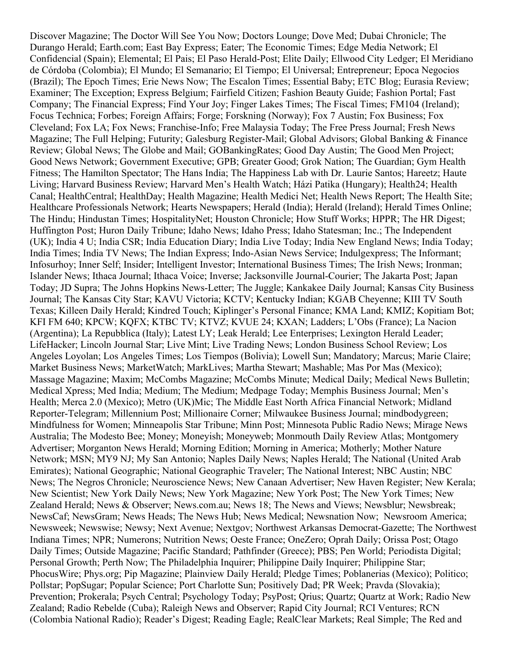Discover Magazine; The Doctor Will See You Now; Doctors Lounge; Dove Med; Dubai Chronicle; The Durango Herald; Earth.com; East Bay Express; Eater; The Economic Times; Edge Media Network; El Confidencial (Spain); Elemental; El Pais; El Paso Herald-Post; Elite Daily; Ellwood City Ledger; El Meridiano de Córdoba (Colombia); El Mundo; El Semanario; El Tiempo; El Universal; Entrepreneur; Epoca Negocios (Brazil); The Epoch Times; Erie News Now; The Escalon Times; Essential Baby; ETC Blog; Eurasia Review; Examiner; The Exception; Express Belgium; Fairfield Citizen; Fashion Beauty Guide; Fashion Portal; Fast Company; The Financial Express; Find Your Joy; Finger Lakes Times; The Fiscal Times; FM104 (Ireland); Focus Technica; Forbes; Foreign Affairs; Forge; Forskning (Norway); Fox 7 Austin; Fox Business; Fox Cleveland; Fox LA; Fox News; Franchise-Info; Free Malaysia Today; The Free Press Journal; Fresh News Magazine; The Full Helping; Futurity; Galesburg Register-Mail; Global Advisors; Global Banking & Finance Review; Global News; The Globe and Mail; GOBankingRates; Good Day Austin; The Good Men Project; Good News Network; Government Executive; GPB; Greater Good; Grok Nation; The Guardian; Gym Health Fitness; The Hamilton Spectator; The Hans India; The Happiness Lab with Dr. Laurie Santos; Hareetz; Haute Living; Harvard Business Review; Harvard Men's Health Watch; Házi Patika (Hungary); Health24; Health Canal; HealthCentral; HealthDay; Health Magazine; Health Medici Net; Health News Report; The Health Site; Healthcare Professionals Network; Hearts Newspapers; Herald (India); Herald (Ireland); Herald Times Online; The Hindu; Hindustan Times; HospitalityNet; Houston Chronicle; How Stuff Works; HPPR; The HR Digest; Huffington Post; Huron Daily Tribune; Idaho News; Idaho Press; Idaho Statesman; Inc.; The Independent (UK); India 4 U; India CSR; India Education Diary; India Live Today; India New England News; India Today; India Times; India TV News; The Indian Express; Indo-Asian News Service; Indulgexpress; The Informant; Infosurhoy; Inner Self; Insider; Intelligent Investor; International Business Times; The Irish News; Ironman; Islander News; Ithaca Journal; Ithaca Voice; Inverse; Jacksonville Journal-Courier; The Jakarta Post; Japan Today; JD Supra; The Johns Hopkins News-Letter; The Juggle; Kankakee Daily Journal; Kansas City Business Journal; The Kansas City Star; KAVU Victoria; KCTV; Kentucky Indian; KGAB Cheyenne; KIII TV South Texas; Killeen Daily Herald; Kindred Touch; Kiplinger's Personal Finance; KMA Land; KMIZ; Kopitiam Bot; KFI FM 640; KPCW; KQFX; KTBC TV; KTVZ; KVUE 24; KXAN; Ladders; L'Obs (France); La Nacion (Argentina); La Repubblica (Italy); Latest LY; Leak Herald; Lee Enterprises; Lexington Herald Leader; LifeHacker; Lincoln Journal Star; Live Mint; Live Trading News; London Business School Review; Los Angeles Loyolan; Los Angeles Times; Los Tiempos (Bolivia); Lowell Sun; Mandatory; Marcus; Marie Claire; Market Business News; MarketWatch; MarkLives; Martha Stewart; Mashable; Mas Por Mas (Mexico); Massage Magazine; Maxim; McCombs Magazine; McCombs Minute; Medical Daily; Medical News Bulletin; Medical Xpress; Med India; Medium; The Medium; Medpage Today; Memphis Business Journal; Men's Health; Merca 2.0 (Mexico); Metro (UK)Mic; The Middle East North Africa Financial Network; Midland Reporter-Telegram; Millennium Post; Millionaire Corner; Milwaukee Business Journal; mindbodygreen; Mindfulness for Women; Minneapolis Star Tribune; Minn Post; Minnesota Public Radio News; Mirage News Australia; The Modesto Bee; Money; Moneyish; Moneyweb; Monmouth Daily Review Atlas; Montgomery Advertiser; Morganton News Herald; Morning Edition; Morning in America; Motherly; Mother Nature Network; MSN; MY9 NJ; My San Antonio; Naples Daily News; Naples Herald; The National (United Arab Emirates); National Geographic; National Geographic Traveler; The National Interest; NBC Austin; NBC News; The Negros Chronicle; Neuroscience News; New Canaan Advertiser; New Haven Register; New Kerala; New Scientist; New York Daily News; New York Magazine; New York Post; The New York Times; New Zealand Herald; News & Observer; News.com.au; News 18; The News and Views; Newsblur; Newsbreak; NewsCaf; NewsGram; News Heads; The News Hub; News Medical; Newsnation Now; Newsroom America; Newsweek; Newswise; Newsy; Next Avenue; Nextgov; Northwest Arkansas Democrat-Gazette; The Northwest Indiana Times; NPR; Numerons; Nutrition News; Oeste France; OneZero; Oprah Daily; Orissa Post; Otago Daily Times; Outside Magazine; Pacific Standard; Pathfinder (Greece); PBS; Pen World; Periodista Digital; Personal Growth; Perth Now; The Philadelphia Inquirer; Philippine Daily Inquirer; Philippine Star; PhocusWire; Phys.org; Pip Magazine; Plainview Daily Herald; Pledge Times; Poblanerias (Mexico); Politico; Pollstar; PopSugar; Popular Science; Port Charlotte Sun; Positively Dad; PR Week; Pravda (Slovakia); Prevention; Prokerala; Psych Central; Psychology Today; PsyPost; Qrius; Quartz; Quartz at Work; Radio New Zealand; Radio Rebelde (Cuba); Raleigh News and Observer; Rapid City Journal; RCI Ventures; RCN (Colombia National Radio); Reader's Digest; Reading Eagle; RealClear Markets; Real Simple; The Red and